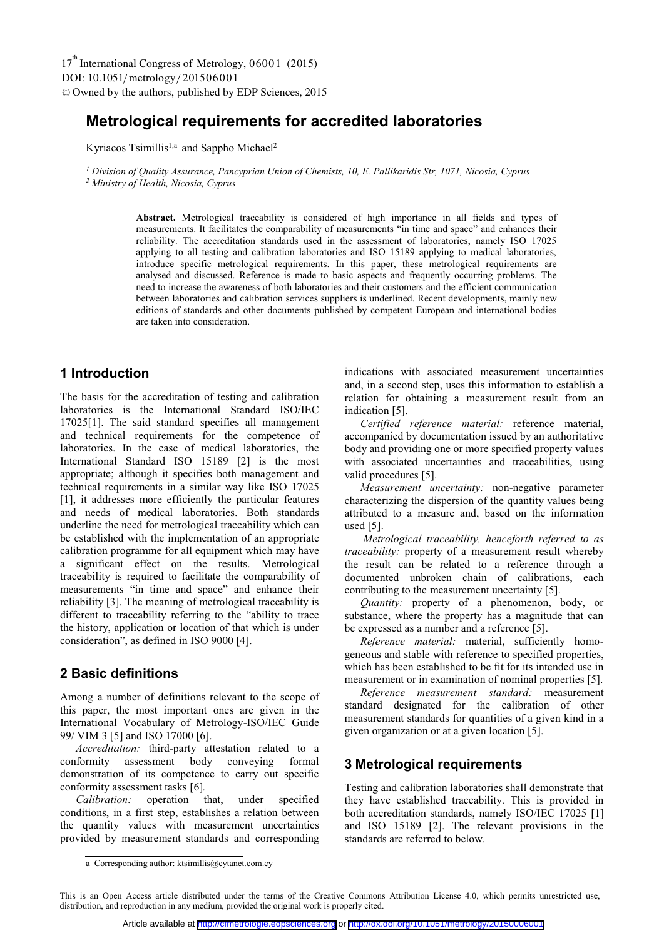# **Metrological requirements for accredited laboratories**

Kyriacos Tsimillis<sup>1,a</sup> and Sappho Michael<sup>2</sup>

*1 Division of Quality Assurance, Pancyprian Union of Chemists, 10, E. Pallikaridis Str, 1071, Nicosia, Cyprus 2 Ministry of Health, Nicosia, Cyprus* 

> **Abstract.** Metrological traceability is considered of high importance in all fields and types of measurements. It facilitates the comparability of measurements "in time and space" and enhances their reliability. The accreditation standards used in the assessment of laboratories, namely ISO 17025 applying to all testing and calibration laboratories and ISO 15189 applying to medical laboratories, introduce specific metrological requirements. In this paper, these metrological requirements are analysed and discussed. Reference is made to basic aspects and frequently occurring problems. The need to increase the awareness of both laboratories and their customers and the efficient communication between laboratories and calibration services suppliers is underlined. Recent developments, mainly new editions of standards and other documents published by competent European and international bodies are taken into consideration.

### **1 Introduction**

Τhe basis for the accreditation of testing and calibration laboratories is the International Standard ISO/IEC 17025[1]. The said standard specifies all management and technical requirements for the competence of laboratories. In the case of medical laboratories, the International Standard ISO 15189 [2] is the most appropriate; although it specifies both management and technical requirements in a similar way like ISO 17025 [1], it addresses more efficiently the particular features and needs of medical laboratories. Both standards underline the need for metrological traceability which can be established with the implementation of an appropriate calibration programme for all equipment which may have a significant effect on the results. Metrological traceability is required to facilitate the comparability of measurements "in time and space" and enhance their reliability [3]. The meaning of metrological traceability is different to traceability referring to the "ability to trace the history, application or location of that which is under consideration", as defined in ISO 9000 [4].

### **2 Basic definitions**

Among a number of definitions relevant to the scope of this paper, the most important ones are given in the International Vocabulary of Metrology-ISO/IEC Guide 99/ VIM 3 [5] and ISO 17000 [6].

*Accreditation:* third-party attestation related to a conformity assessment body conveying formal demonstration of its competence to carry out specific conformity assessment tasks [6]*.* 

*Calibration:* operation that, under specified conditions, in a first step, establishes a relation between the quantity values with measurement uncertainties provided by measurement standards and corresponding

indications with associated measurement uncertainties and, in a second step, uses this information to establish a relation for obtaining a measurement result from an indication [5].

*Certified reference material:* reference material, accompanied by documentation issued by an authoritative body and providing one or more specified property values with associated uncertainties and traceabilities, using valid procedures [5].

*Measurement uncertainty:* non-negative parameter characterizing the dispersion of the quantity values being attributed to a measure and, based on the information used [5].

 *Metrological traceability, henceforth referred to as traceability:* property of a measurement result whereby the result can be related to a reference through a documented unbroken chain of calibrations, each contributing to the measurement uncertainty [5].

*Quantity:* property of a phenomenon, body, or substance, where the property has a magnitude that can be expressed as a number and a reference [5].

*Reference material:* material, sufficiently homogeneous and stable with reference to specified properties, which has been established to be fit for its intended use in measurement or in examination of nominal properties [5].

*Reference measurement standard:* measurement standard designated for the calibration of other measurement standards for quantities of a given kind in a given organization or at a given location [5].

### **3 Metrological requirements**

Testing and calibration laboratories shall demonstrate that they have established traceability. This is provided in both accreditation standards, namely ISO/IEC 17025 [1] and ISO 15189 [2]. The relevant provisions in the standards are referred to below.

a Corresponding author: ktsimillis@cytanet.com.cy

This is an Open Access article distributed under the terms of the Creative Commons Attribution License 4.0, which permits unrestricted use, distribution, and reproduction in any medium, provided the original work is properly cited.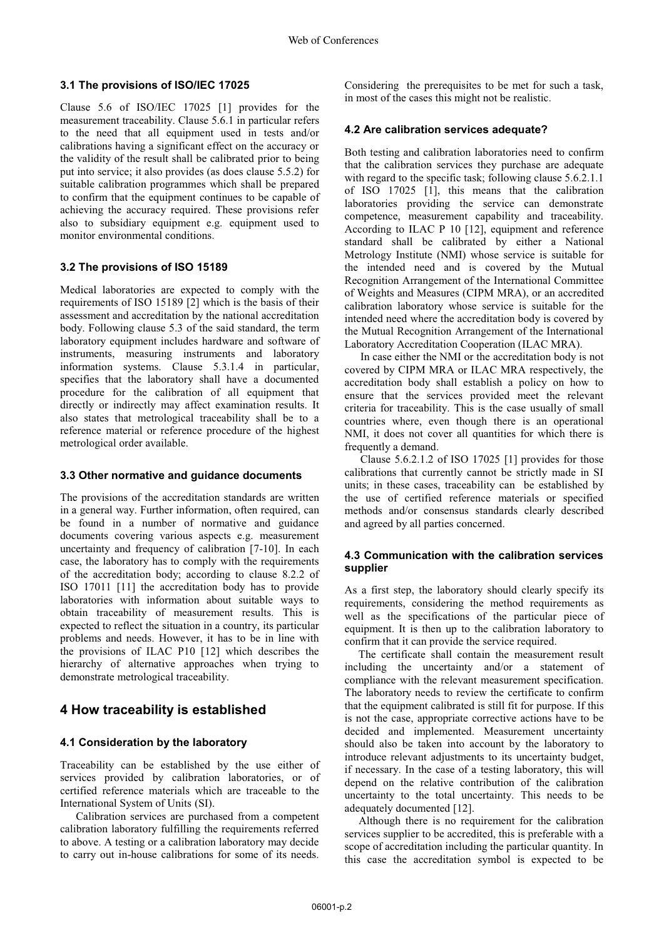#### **3.1 The provisions of ISO/IEC 17025**

Clause 5.6 of ISO/IEC 17025 [1] provides for the measurement traceability. Clause 5.6.1 in particular refers to the need that all equipment used in tests and/or calibrations having a significant effect on the accuracy or the validity of the result shall be calibrated prior to being put into service; it also provides (as does clause 5.5.2) for suitable calibration programmes which shall be prepared to confirm that the equipment continues to be capable of achieving the accuracy required. These provisions refer also to subsidiary equipment e.g. equipment used to monitor environmental conditions.

### **3.2 The provisions of ISO 15189**

Medical laboratories are expected to comply with the requirements of ISO 15189 [2] which is the basis of their assessment and accreditation by the national accreditation body. Following clause 5.3 of the said standard, the term laboratory equipment includes hardware and software of instruments, measuring instruments and laboratory information systems. Clause 5.3.1.4 in particular, specifies that the laboratory shall have a documented procedure for the calibration of all equipment that directly or indirectly may affect examination results. It also states that metrological traceability shall be to a reference material or reference procedure of the highest metrological order available.

#### **3.3 Other normative and guidance documents**

The provisions of the accreditation standards are written in a general way. Further information, often required, can be found in a number of normative and guidance documents covering various aspects e.g. measurement uncertainty and frequency of calibration [7-10]. In each case, the laboratory has to comply with the requirements of the accreditation body; according to clause 8.2.2 of ISO 17011 [11] the accreditation body has to provide laboratories with information about suitable ways to obtain traceability of measurement results. This is expected to reflect the situation in a country, its particular problems and needs. However, it has to be in line with the provisions of ILAC P10 [12] which describes the hierarchy of alternative approaches when trying to demonstrate metrological traceability.

### **4 How traceability is established**

### **4.1 Consideration by the laboratory**

Traceability can be established by the use either of services provided by calibration laboratories, or of certified reference materials which are traceable to the International System of Units (SI).

Calibration services are purchased from a competent calibration laboratory fulfilling the requirements referred to above. A testing or a calibration laboratory may decide to carry out in-house calibrations for some of its needs.

Considering the prerequisites to be met for such a task, in most of the cases this might not be realistic.

### **4.2 Are calibration services adequate?**

Both testing and calibration laboratories need to confirm that the calibration services they purchase are adequate with regard to the specific task; following clause 5.6.2.1.1 of ISO 17025 [1], this means that the calibration laboratories providing the service can demonstrate competence, measurement capability and traceability. According to ILAC P 10 [12], equipment and reference standard shall be calibrated by either a National Metrology Institute (NMI) whose service is suitable for the intended need and is covered by the Mutual Recognition Arrangement of the International Committee of Weights and Measures (CIPM MRA), or an accredited calibration laboratory whose service is suitable for the intended need where the accreditation body is covered by the Mutual Recognition Arrangement of the International Laboratory Accreditation Cooperation (ILAC MRA).

In case either the NMI or the accreditation body is not covered by CIPM MRA or ILAC MRA respectively, the accreditation body shall establish a policy on how to ensure that the services provided meet the relevant criteria for traceability. This is the case usually of small countries where, even though there is an operational NMI, it does not cover all quantities for which there is frequently a demand.

Clause 5.6.2.1.2 of ISO 17025 [1] provides for those calibrations that currently cannot be strictly made in SI units; in these cases, traceability can be established by the use of certified reference materials or specified methods and/or consensus standards clearly described and agreed by all parties concerned.

### **4.3 Communication with the calibration services supplier**

As a first step, the laboratory should clearly specify its requirements, considering the method requirements as well as the specifications of the particular piece of equipment. It is then up to the calibration laboratory to confirm that it can provide the service required.

 The certificate shall contain the measurement result including the uncertainty and/or a statement of compliance with the relevant measurement specification. The laboratory needs to review the certificate to confirm that the equipment calibrated is still fit for purpose. If this is not the case, appropriate corrective actions have to be decided and implemented. Measurement uncertainty should also be taken into account by the laboratory to introduce relevant adjustments to its uncertainty budget, if necessary. In the case of a testing laboratory, this will depend on the relative contribution of the calibration uncertainty to the total uncertainty. This needs to be adequately documented [12].

 Although there is no requirement for the calibration services supplier to be accredited, this is preferable with a scope of accreditation including the particular quantity. In this case the accreditation symbol is expected to be